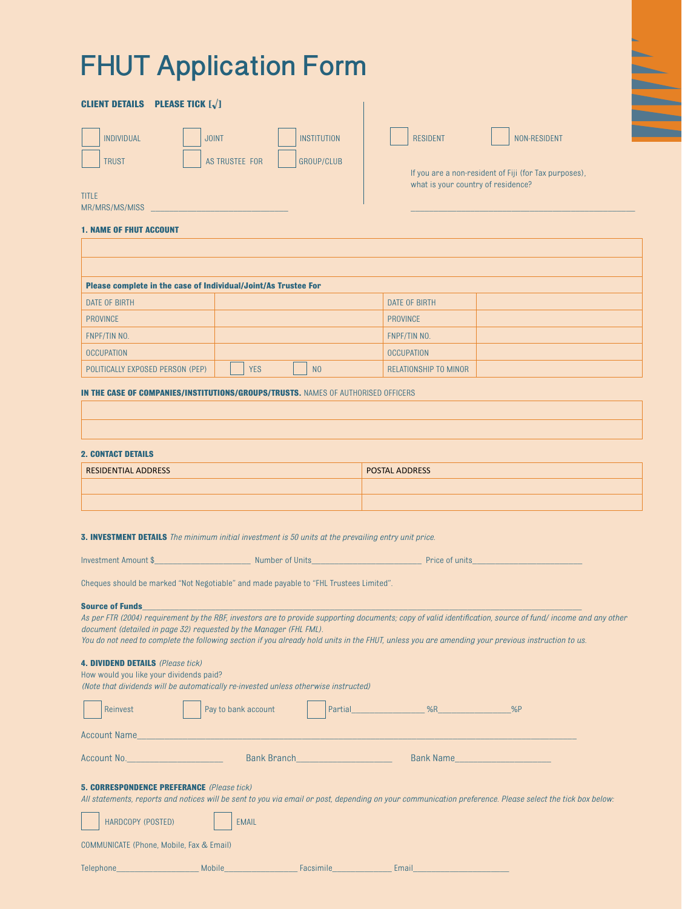# **FHUT Application Form**

# **CLIENT DETAILS PLEASE TICK [√]** INDIVIDUAL | JOINT | INSTITUTION | RESIDENT | NON-RESIDENT TRUST  $\parallel$  as trustee for  $\parallel$  group/club

 If you are a non-resident of Fiji (for Tax purposes), what is your country of residence?

MR/MRS/MS/MISS

TITLE

# **1. NAME OF FHUT ACCOUNT**

| Please complete in the case of Individual/Joint/As Trustee For |                              |                       |  |
|----------------------------------------------------------------|------------------------------|-----------------------|--|
| DATE OF BIRTH                                                  |                              | DATE OF BIRTH         |  |
| <b>PROVINCE</b>                                                |                              | <b>PROVINCE</b>       |  |
| FNPF/TIN NO.                                                   |                              | FNPF/TIN NO.          |  |
| <b>OCCUPATION</b>                                              |                              | <b>OCCUPATION</b>     |  |
| POLITICALLY EXPOSED PERSON (PEP)                               | <b>YES</b><br>N <sub>0</sub> | RELATIONSHIP TO MINOR |  |

#### **IN THE CASE OF COMPANIES/INSTITUTIONS/GROUPS/TRUSTS. NAMES OF AUTHORISED OFFICERS**

#### **2. CONTACT DETAILS**

| <b>RESIDENTIAL ADDRESS</b> | <b>POSTAL ADDRESS</b> |
|----------------------------|-----------------------|
|                            |                       |
|                            |                       |

**3. INVESTMENT DETAILS** *The minimum initial investment is 50 units at the prevailing entry unit price.*

|  | Investment Amount \$ | Number of Units | Price of units |
|--|----------------------|-----------------|----------------|
|--|----------------------|-----------------|----------------|

Cheques should be marked "Not Negotiable" and made payable to "FHL Trustees Limited".

#### **Source of Funds**

*As per FTR (2004) requirement by the RBF, investors are to provide supporting documents; copy of valid identification, source of fund/ income and any other document (detailed in page 32) requested by the Manager (FHL FML).*

*You do not need to complete the following section if you already hold units in the FHUT, unless you are amending your previous instruction to us.*

# **4. DIVIDEND DETAILS** *(Please tick)*

How would you like your dividends paid?

*(Note that dividends will be automatically re-invested unless otherwise instructed)*

| Reinvest                                                                                                           | Pay to bank account                                                                                                                                                     | Partial %R |           | %P |
|--------------------------------------------------------------------------------------------------------------------|-------------------------------------------------------------------------------------------------------------------------------------------------------------------------|------------|-----------|----|
| <b>Account Name</b>                                                                                                |                                                                                                                                                                         |            |           |    |
| Account No. Account No.                                                                                            | <b>Bank Branch</b>                                                                                                                                                      |            | Bank Name |    |
| <b>5. CORRESPONDENCE PREFERANCE</b> (Please tick)<br>HARDCOPY (POSTED)<br>COMMUNICATE (Phone, Mobile, Fax & Email) | All statements, reports and notices will be sent to you via email or post, depending on your communication preference. Please select the tick box below<br><b>EMAIL</b> |            |           |    |

| Telephone_ |  |  |  |  |  |  |  |  |
|------------|--|--|--|--|--|--|--|--|
|------------|--|--|--|--|--|--|--|--|

Telephone\_\_\_\_\_\_\_\_\_\_\_\_\_\_\_\_\_\_ Mobile\_\_\_\_\_\_\_\_\_\_\_\_\_\_\_\_ Facsimile\_\_\_\_\_\_\_\_\_\_\_\_\_ Email\_\_\_\_\_\_\_\_\_\_\_\_\_\_\_\_\_\_\_\_\_